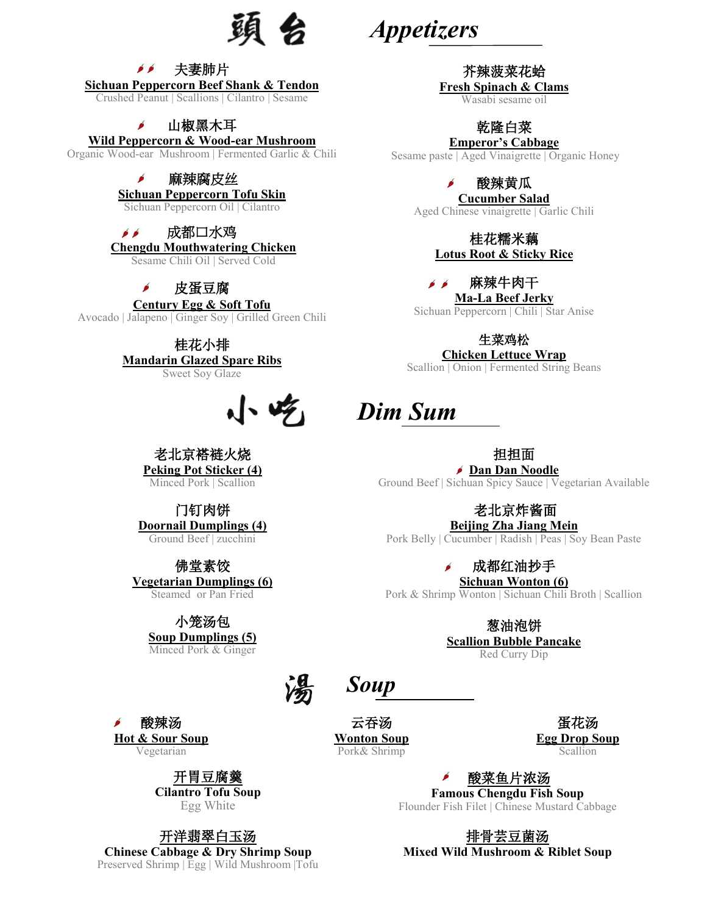頭 会

*Appetizers*

#### 芥辣菠菜花蛤 **Fresh Spinach & Clams**

Wasabi sesame oil

## 乾隆白菜

### **Emperor's Cabbage**

Sesame paste | Aged Vinaigrette | Organic Honey

### 酸辣黄瓜

**Cucumber Salad**  Aged Chinese vinaigrette | Garlic Chili

> 桂花糯米藕 **Lotus Root & Sticky Rice**

麻辣牛肉干  $\bullet$   $\bullet$ **Ma-La Beef Jerky** 

Sichuan Peppercorn | Chili | Star Anise

生菜鸡松

**Chicken Lettuce Wrap**

Scallion | Onion | Fermented String Beans

# *Dim Sum*

相相面

**Dan Dan Noodle**  Ground Beef | Sichuan Spicy Sauce | Vegetarian Available

## 老北京炸酱面

**Beijing Zha Jiang Mein** Pork Belly | Cucumber | Radish | Peas | Soy Bean Paste

成都红油抄手

**Sichuan Wonton (6)** Pork & Shrimp Wonton | Sichuan Chili Broth | Scallion

> 葱油泡饼 **Scallion Bubble Pancake**  Red Curry Dip

云吞汤 **Wonton Soup** 

Pork& Shrimp

*Soup*

蛋花汤 **Egg Drop Soup**  Scallion

酸菜鱼片浓汤 **Famous Chengdu Fish Soup** Flounder Fish Filet | Chinese Mustard Cabbage

排骨芸豆菌汤

**Mixed Wild Mushroom & Riblet Soup**

夫妻肺片  $\bullet$ 

**Sichuan Peppercorn Beef Shank & Tendon**  Crushed Peanut | Scallions | Cilantro | Sesame

### 山椒黑木耳

### **Wild Peppercorn & Wood-ear Mushroom**

Organic Wood-ear Mushroom | Fermented Garlic & Chili

#### 麻辣腐皮丝 Í

**Sichuan Peppercorn Tofu Skin** 

Sichuan Peppercorn Oil | Cilantro

#### $\bullet$ 成都口水鸡

**Chengdu Mouthwatering Chicken** 

Sesame Chili Oil | Served Cold

 $\mathbf{r}$ 皮蛋豆腐

## **Century Egg & Soft Tofu**

Avocado | Jalapeno | Ginger Soy | Grilled Green Chili

桂花小排 **Mandarin Glazed Spare Ribs** Sweet Soy Glaze

# $\sqrt{2}$

老北京褡裢火烧 **Peking Pot Sticker (4)**

Minced Pork | Scallion

### 门钉肉饼

**Doornail Dumplings (4)** Ground Beef | zucchini

佛堂素饺

**Vegetarian Dumplings (6)**  Steamed or Pan Fried

## 小笼汤包

**Soup Dumplings (5)**  Minced Pork & Ginger

酸辣汤 **Hot & Sour Soup** Vegetarian

> 开胃豆腐羹 **Cilantro Tofu Soup** Egg White

开洋翡翠白玉汤 **Chinese Cabbage & Dry Shrimp Soup** Preserved Shrimp | Egg | Wild Mushroom |Tofu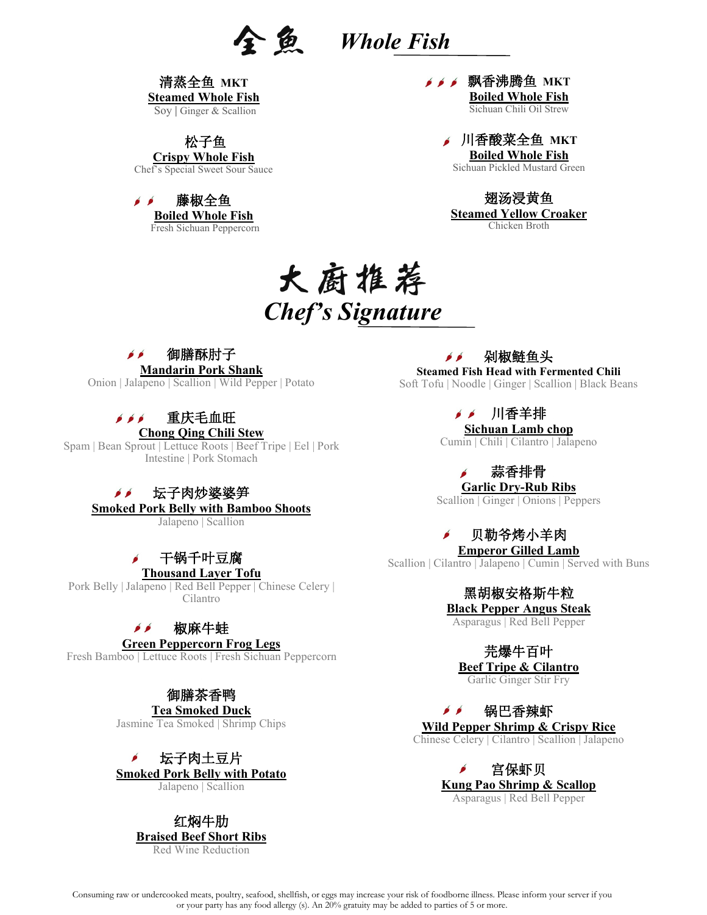清蒸全鱼 **MKT Steamed Whole Fish**

Soy | Ginger & Scallion

松子鱼 **Crispy Whole Fish**

Chef's Special Sweet Sour Sauce

 $\bullet$   $\bullet$ 藤椒全鱼 **Boiled Whole Fish** Fresh Sichuan Peppercorn **メメメ 飘香沸腾鱼 MKT Boiled Whole Fish** Sichuan Chili Oil Strew

> 川香酸菜全鱼 **MKT Boiled Whole Fish** Sichuan Pickled Mustard Green

翅汤浸黄鱼 **Steamed Yellow Croaker**  Chicken Broth

# 大厨推荐 *Chef's Signature*

#### $\bullet$   $\bullet$ 御膳酥肘子

**Mandarin Pork Shank** 

Onion | Jalapeno | Scallion | Wild Pepper | Potato

#### 重庆毛血旺  $\bullet$   $\bullet$   $\bullet$

**Chong Qing Chili Stew** Spam | Bean Sprout | Lettuce Roots | Beef Tripe | Eel | Pork Intestine | Pork Stomach

#### $\epsilon$ 坛子肉炒婆婆笋

**Smoked Pork Belly with Bamboo Shoots** 

Jalapeno | Scallion

## 干锅千叶豆腐

**Thousand Layer Tofu**

Pork Belly | Jalapeno | Red Bell Pepper | Chinese Celery | Cilantro

#### 椒麻牛蛙  $\bullet$   $\bullet$

#### **Green Peppercorn Frog Legs**

Fresh Bamboo | Lettuce Roots | Fresh Sichuan Peppercorn

## 御膳茶香鸭

**Tea Smoked Duck** Jasmine Tea Smoked | Shrimp Chips

Í 坛子肉土豆片 **Smoked Pork Belly with Potato** Jalapeno | Scallion

> 红焖牛肋 **Braised Beef Short Ribs** Red Wine Reduction

剁椒鲢鱼头  $\bullet$   $\bullet$ **Steamed Fish Head with Fermented Chili** 

Soft Tofu | Noodle | Ginger | Scallion | Black Beans

▶▶ 川香羊排 **Sichuan Lamb chop**

Cumin | Chili | Cilantro | Jalapeno

蒜香排骨

**Garlic Dry-Rub Ribs** 

Scallion | Ginger | Onions | Peppers

贝勒爷烤小羊肉

**Emperor Gilled Lamb**  Scallion | Cilantro | Jalapeno | Cumin | Served with Buns

> 黑胡椒安格斯牛粒 **Black Pepper Angus Steak**

Asparagus | Red Bell Pepper

芫爆牛百叶

**Beef Tripe & Cilantro**  Garlic Ginger Stir Fry

 $\epsilon$ 锅巴香辣虾 **Wild Pepper Shrimp & Crispy Rice** Chinese Celery | Cilantro | Scallion | Jalapeno

> 宫保虾贝 **Kung Pao Shrimp & Scallop** Asparagus | Red Bell Pepper

Consuming raw or undercooked meats, poultry, seafood, shellfish, or eggs may increase your risk of foodborne illness. Please inform your server if you or your party has any food allergy (s). An 20% gratuity may be added to parties of 5 or more.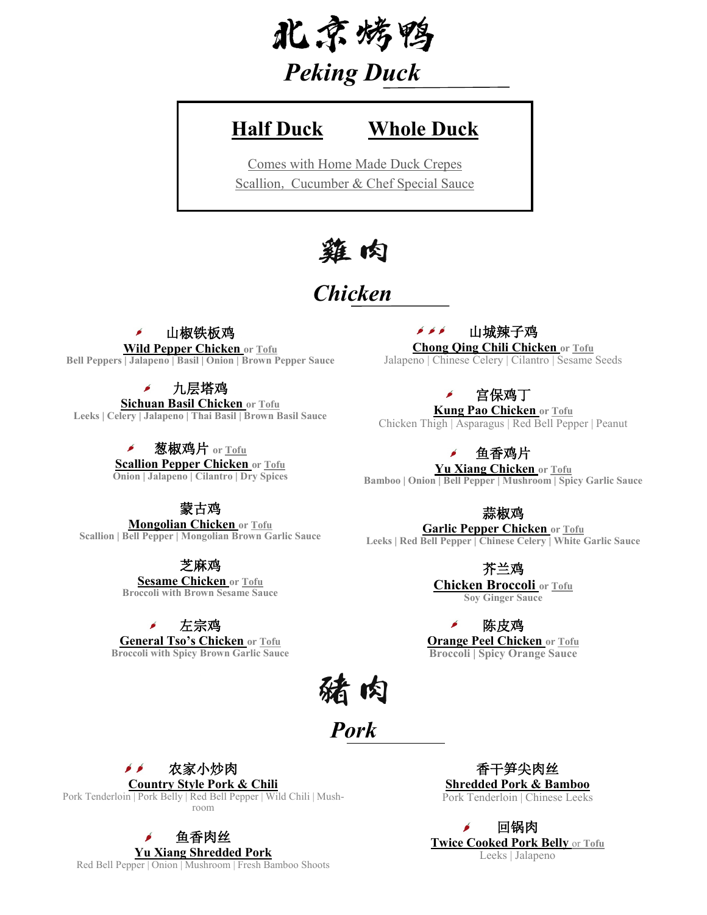

# *Peking Duck*

# **Half Duck Whole Duck**

Comes with Home Made Duck Crepes Scallion, Cucumber & Chef Special Sauce

# 雞肉

# *Chicken*

#### Í 山椒铁板鸡

**Wild Pepper Chicken or Tofu Bell Peppers | Jalapeno | Basil | Onion | Brown Pepper Sauce**

### 九层塔鸡

**Sichuan Basil Chicken or Tofu Leeks | Celery | Jalapeno | Thai Basil | Brown Basil Sauce** 

> 葱椒鸡片 **or Tofu** Á **Scallion Pepper Chicken or Tofu Onion | Jalapeno | Cilantro | Dry Spices**

## 蒙古鸡

**Mongolian Chicken or Tofu Scallion | Bell Pepper | Mongolian Brown Garlic Sauce**

芝麻鸡

**Sesame Chicken or Tofu Broccoli with Brown Sesame Sauce**

左宗鸡

**General Tso's Chicken or Tofu Broccoli with Spicy Brown Garlic Sauce**  $6.6.6$ 山城辣子鸡

### **Chong Qing Chili Chicken or Tofu**

Jalapeno | Chinese Celery | Cilantro | Sesame Seeds

### 宫保鸡丁

**Kung Pao Chicken or Tofu**

Chicken Thigh | Asparagus | Red Bell Pepper | Peanut

鱼香鸡片

**Yu Xiang Chicken or Tofu Bamboo | Onion | Bell Pepper | Mushroom | Spicy Garlic Sauce** 

蒜椒鸡

**Garlic Pepper Chicken or Tofu Leeks | Red Bell Pepper | Chinese Celery | White Garlic Sauce** 

芥兰鸡

**Chicken Broccoli or Tofu Soy Ginger Sauce** 

陈皮鸡 **Orange Peel Chicken or Tofu Broccoli | Spicy Orange Sauce** 

猪肉

*Pork*

 $\bullet$   $\bullet$ 农家小炒肉

**Country Style Pork & Chili**  Pork Tenderloin | Pork Belly | Red Bell Pepper | Wild Chili | Mushroom

香干笋尖肉丝 **Shredded Pork & Bamboo** Pork Tenderloin | Chinese Leeks



**Yu Xiang Shredded Pork**  Red Bell Pepper | Onion | Mushroom | Fresh Bamboo Shoots

鱼香肉丝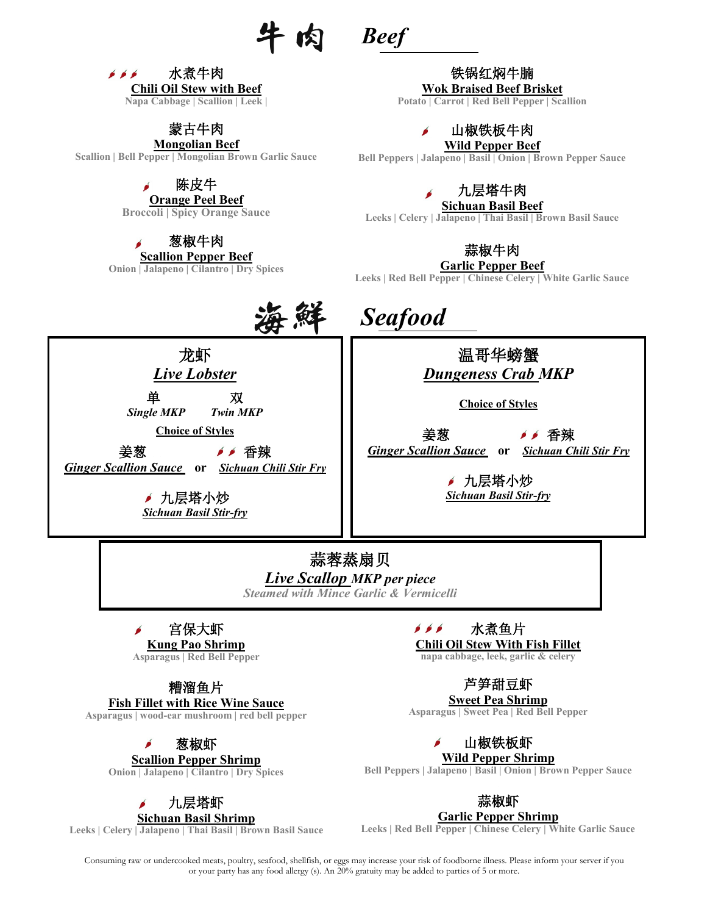



蒙古牛肉

**Mongolian Beef Scallion | Bell Pepper | Mongolian Brown Garlic Sauce**

陈皮牛

**Orange Peel Beef** 

**Broccoli | Spicy Orange Sauce** 

葱椒牛肉

**Scallion Pepper Beef Onion | Jalapeno | Cilantro | Dry Spices** 

铁锅红焖牛腩 **Wok Braised Beef Brisket** 

**Potato | Carrot | Red Bell Pepper | Scallion**

山椒铁板牛肉 **Wild Pepper Beef**

**Bell Peppers | Jalapeno | Basil | Onion | Brown Pepper Sauce**

九层塔牛肉

**Sichuan Basil Beef Leeks | Celery | Jalapeno | Thai Basil | Brown Basil Sauce** 



**Garlic Pepper Beef** 

**Leeks | Red Bell Pepper | Chinese Celery | White Garlic Sauce**



单 双 *Single MKP Twin MKP*

**Choice of Styles** 姜葱 香辣

*Ginger Scallion Sauce* **or** *Sichuan Chili Stir Fry* 

✔ 九层塔小炒 *Sichuan Basil Stir-fry*  *Seafood*



*Dungeness Crab MKP*

**Choice of Styles**

姜葱 "'香辣 *Ginger Scallion Sauce* **or** *Sichuan Chili Stir Fry*

九层塔小炒 *Sichuan Basil Stir-fry* 

蒜蓉蒸扇贝 *Live Scallop MKP per piece Steamed with Mince Garlic & Vermicelli* 

宫保大虾 ó

**Kung Pao Shrimp Asparagus | Red Bell Pepper** 

糟溜鱼片

**Fish Fillet with Rice Wine Sauce**

**Asparagus | wood-ear mushroom | red bell pepper**

葱椒虾

**Scallion Pepper Shrimp Onion | Jalapeno | Cilantro | Dry Spices** 

# 九层塔虾

**Sichuan Basil Shrimp Leeks | Celery | Jalapeno | Thai Basil | Brown Basil Sauce**   $\bullet$   $\bullet$   $\bullet$ 水煮鱼片 **Chili Oil Stew With Fish Fillet** 

**napa cabbage, leek, garlic & celery**

芦笋甜豆虾

**Sweet Pea Shrimp**

**Asparagus | Sweet Pea | Red Bell Pepper**

山椒铁板虾

**Wild Pepper Shrimp**

**Bell Peppers | Jalapeno | Basil | Onion | Brown Pepper Sauce**

蒜椒虾

**Garlic Pepper Shrimp**

**Leeks | Red Bell Pepper | Chinese Celery | White Garlic Sauce**

Consuming raw or undercooked meats, poultry, seafood, shellfish, or eggs may increase your risk of foodborne illness. Please inform your server if you or your party has any food allergy (s). An 20% gratuity may be added to parties of 5 or more.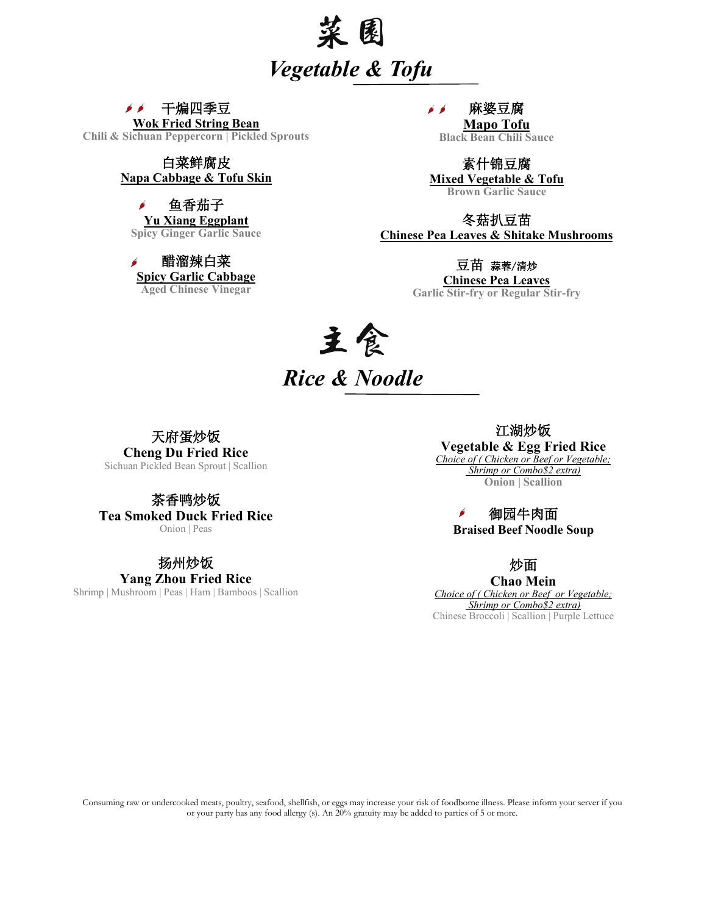

 $\bullet$   $\bullet$ 干煸四季豆 **Wok Fried String Bean Chili & Sichuan Peppercorn | Pickled Sprouts**

#### 白菜鲜腐皮 **Napa Cabbage & Tofu Skin**

 $\mathbf{r}$ 鱼香茄子 **Yu Xiang Eggplant Spicy Ginger Garlic Sauce** 

醋溜辣白菜 **Spicy Garlic Cabbage Aged Chinese Vinegar** 

 $\epsilon$ 麻婆豆腐

> **Mapo Tofu Black Bean Chili Sauce**

素什锦豆腐 **Mixed Vegetable & Tofu Brown Garlic Sauce** 

冬菇扒豆苗 **Chinese Pea Leaves & Shitake Mushrooms**

#### 豆苗 蒜蓉/清炒

**Chinese Pea Leaves Garlic Stir-fry or Regular Stir-fry**

# 主食 *Rice & Noodle*

天府蛋炒饭 **Cheng Du Fried Rice**

Sichuan Pickled Bean Sprout | Scallion

茶香鸭炒饭 **Tea Smoked Duck Fried Rice** Onion | Peas

扬州炒饭

**Yang Zhou Fried Rice** Shrimp | Mushroom | Peas | Ham | Bamboos | Scallion

江湖炒饭 **Vegetable & Egg Fried Rice** *Choice of ( Chicken or Beef or Vegetable; Shrimp or Combo\$2 extra)* **Onion | Scallion** 

> ó 御园牛肉面 **Braised Beef Noodle Soup**

> > 炒面

**Chao Mein** *Choice of ( Chicken or Beef or Vegetable; Shrimp or Combo\$2 extra)* Chinese Broccoli | Scallion | Purple Lettuce

Consuming raw or undercooked meats, poultry, seafood, shellfish, or eggs may increase your risk of foodborne illness. Please inform your server if you or your party has any food allergy (s). An 20% gratuity may be added to parties of 5 or more.